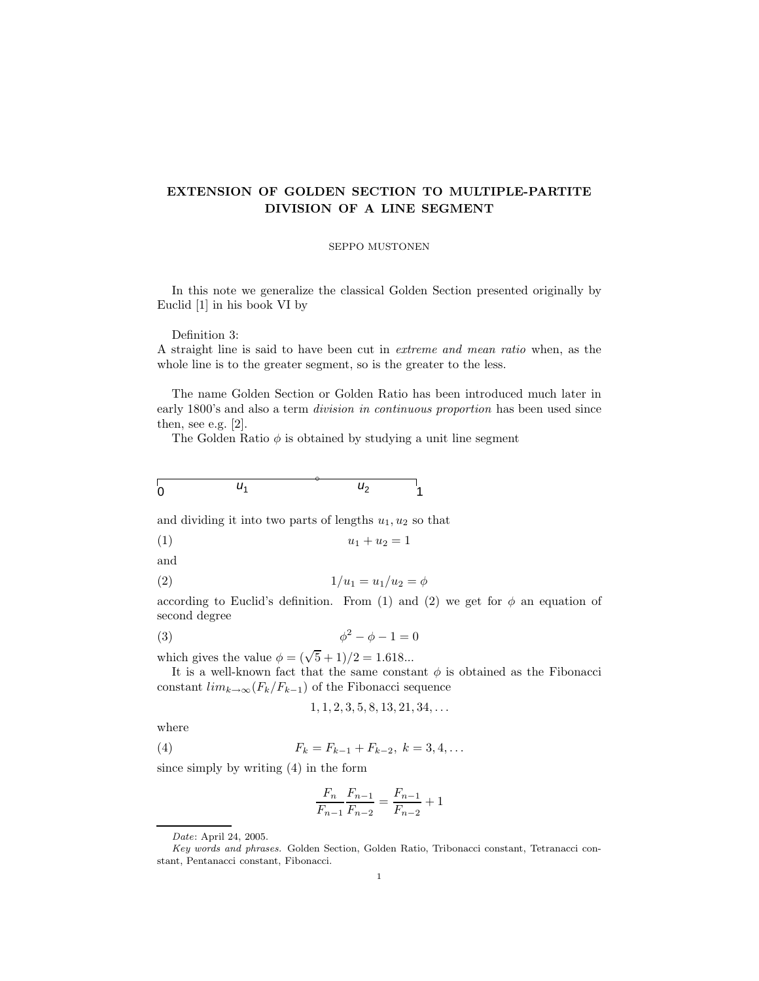## **EXTENSION OF GOLDEN SECTION TO MULTIPLE-PARTITE DIVISION OF A LINE SEGMENT**

## SEPPO MUSTONEN

In this note we generalize the classical Golden Section presented originally by Euclid [1] in his book VI by

Definition 3:

A straight line is said to have been cut in extreme and mean ratio when, as the whole line is to the greater segment, so is the greater to the less.

The name Golden Section or Golden Ratio has been introduced much later in early 1800's and also a term *division in continuous proportion* has been used since then, see e.g. [2].

The Golden Ratio  $\phi$  is obtained by studying a unit line segment

| $\overline{0}$ | $U_1$ | $U_2$<br>- | $\overline{A}$ |
|----------------|-------|------------|----------------|
|                |       |            |                |

and dividing it into two parts of lengths  $u_1, u_2$  so that

$$
(1) \qquad \qquad u_1 + u_2 = 1
$$

and

(2) 
$$
1/u_1 = u_1/u_2 = \phi
$$

according to Euclid's definition. From (1) and (2) we get for  $\phi$  an equation of second degree

$$
\phi^2 - \phi - 1 = 0
$$

which gives the value  $\phi = (\sqrt{5} + 1)/2 = 1.618...$ 

It is a well-known fact that the same constant  $\phi$  is obtained as the Fibonacci constant  $\lim_{k\to\infty}(F_k/F_{k-1})$  of the Fibonacci sequence

$$
1, 1, 2, 3, 5, 8, 13, 21, 34, \ldots
$$

where

(4) 
$$
F_k = F_{k-1} + F_{k-2}, \ k = 3, 4, \dots
$$

since simply by writing (4) in the form

$$
\frac{F_n}{F_{n-1}} \frac{F_{n-1}}{F_{n-2}} = \frac{F_{n-1}}{F_{n-2}} + 1
$$

Date: April 24, 2005.

Key words and phrases. Golden Section, Golden Ratio, Tribonacci constant, Tetranacci constant, Pentanacci constant, Fibonacci.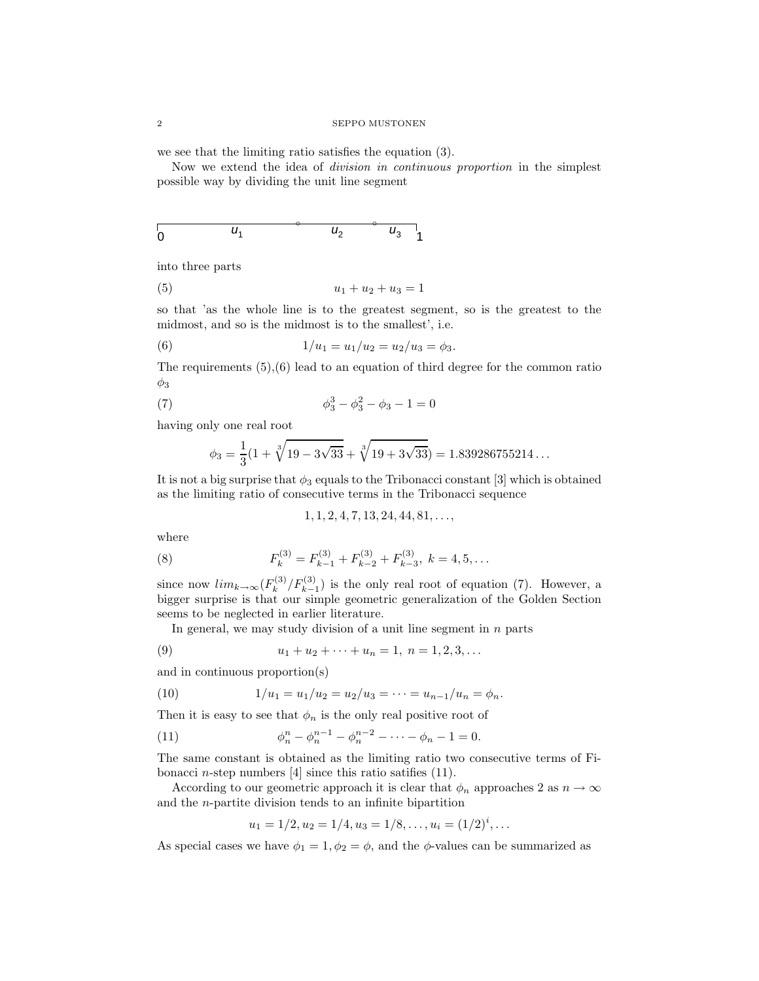we see that the limiting ratio satisfies the equation (3).

Now we extend the idea of division in continuous proportion in the simplest possible way by dividing the unit line segment

$$
\begin{array}{ccc}\n & & & \circ & & \circ & \\
0 & & & u_1 & & \circ & \downarrow \\
0 & & & & u_2 & & \circ & \downarrow \\
\end{array}
$$

into three parts

$$
(5) \t\t u_1 + u_2 + u_3 = 1
$$

so that 'as the whole line is to the greatest segment, so is the greatest to the midmost, and so is the midmost is to the smallest', i.e.

(6) 
$$
1/u_1 = u_1/u_2 = u_2/u_3 = \phi_3.
$$

The requirements  $(5),(6)$  lead to an equation of third degree for the common ratio  $\phi_3$ 

(7) 
$$
\phi_3^3 - \phi_3^2 - \phi_3 - 1 = 0
$$

having only one real root

$$
\phi_3 = \frac{1}{3}(1 + \sqrt[3]{19 - 3\sqrt{33}} + \sqrt[3]{19 + 3\sqrt{33}}) = 1.839286755214...
$$

It is not a big surprise that  $\phi_3$  equals to the Tribonacci constant [3] which is obtained as the limiting ratio of consecutive terms in the Tribonacci sequence

$$
1, 1, 2, 4, 7, 13, 24, 44, 81, \ldots,
$$

where

(8) 
$$
F_k^{(3)} = F_{k-1}^{(3)} + F_{k-2}^{(3)} + F_{k-3}^{(3)}, \ k = 4, 5, ...
$$

since now  $lim_{k\to\infty}(F_k^{(3)}/F_{k-1}^{(3)})$  is the only real root of equation (7). However, a bigger surprise is that our simple geometric generalization of the Golden Section seems to be neglected in earlier literature.

In general, we may study division of a unit line segment in  $n$  parts

(9) 
$$
u_1 + u_2 + \cdots + u_n = 1, \ n = 1, 2, 3, \ldots
$$

and in continuous proportion(s)

(10) 
$$
1/u_1 = u_1/u_2 = u_2/u_3 = \cdots = u_{n-1}/u_n = \phi_n.
$$

Then it is easy to see that  $\phi_n$  is the only real positive root of

(11) 
$$
\phi_n^n - \phi_n^{n-1} - \phi_n^{n-2} - \dots - \phi_n - 1 = 0.
$$

The same constant is obtained as the limiting ratio two consecutive terms of Fibonacci *n*-step numbers  $[4]$  since this ratio satifies  $(11)$ .

According to our geometric approach it is clear that  $\phi_n$  approaches 2 as  $n \to \infty$ and the n-partite division tends to an infinite bipartition

$$
u_1 = 1/2, u_2 = 1/4, u_3 = 1/8, \dots, u_i = (1/2)^i, \dots
$$

As special cases we have  $\phi_1 = 1, \phi_2 = \phi$ , and the  $\phi$ -values can be summarized as